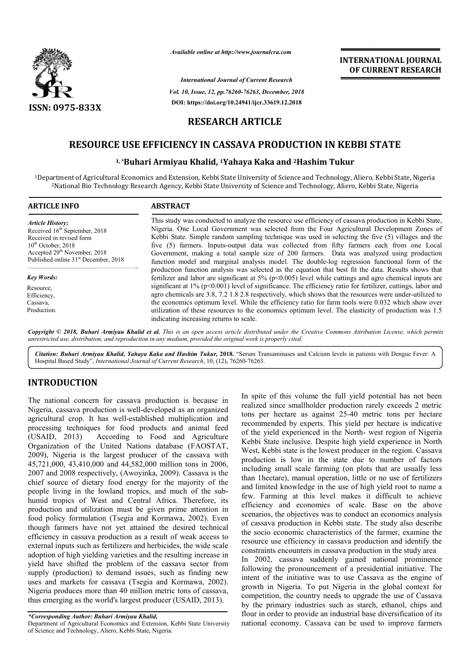

*Available online at http://www.journalcra.com*

*Vol. 10, Issue, 12, pp. pp.76260-76263, December, 2018 International Journal of Current Research* **DOI: https://doi.org/10.24941/ijcr.33619.12.2018**

# **INTERNATIONAL JOURNAL OF CURRENT RESEARCH**

# **RESEARCH ARTICLE**

# **RESOURCE USE EFFICIENCY IN CASSAVA PRODUCTION IN KEBBI STATE**<br><sup>1,</sup>\*Buhari Armiyau Khalid, <sup>1</sup>Yahaya Kaka and <sup>2</sup>Hashim Tukur

## <sup>1,</sup>\*Buhari Armiyau Khalid, <sup>1</sup>Yahaya Kaka and <sup>2</sup>Hashim Tukur

<sup>1</sup>Department of Agricultural Economics and Extension, Kebbi State University of Science and Technology, Aliero, Kebbi State, Nigeria 2National Bio Technology Research Agency, Kebbi State University of Science and Technology, National Aliero, Kebbi State, Nigeria

| <b>ARTICLE INFO</b>                              | <b>ABSTRACT</b>                                                                                             |  |
|--------------------------------------------------|-------------------------------------------------------------------------------------------------------------|--|
| <b>Article History:</b>                          | This study was conducted to analyze the resource use efficiency of cassava production in Kebbi State,       |  |
| Received 16 <sup>th</sup> September, 2018        | Nigeria. One Local Government was selected from the Four Agricultural Development Zones of                  |  |
| Received in revised form                         | Kebbi State. Simple random sampling technique was used in selecting the five (5) villages and the           |  |
| $10th$ October, 2018                             | five (5) farmers. Inputs-output data was collected from fifty farmers each from one Local                   |  |
| Accepted 29 <sup>th</sup> November, 2018         | Government, making a total sample size of 200 farmers. Data was analyzed using production                   |  |
| Published online 31 <sup>st</sup> December, 2018 | function model and marginal analysis model. The double-log regression functional form of the                |  |
|                                                  | production function analysis was selected as the equation that best fit the data. Results shows that        |  |
| <b>Key Words:</b>                                | fertilizer and labor are significant at 5% ( $p<0.005$ ) level while cuttings and agro chemical inputs are  |  |
| Resource.                                        | significant at 1% (p<0.001) level of significance. The efficiency ratio for fertilizer, cuttings, labor and |  |
| Efficiency,                                      | agro chemicals are 3.8, 7.2 1.8 2.8 respectively, which shows that the resources were under-utilized to     |  |
| Cassava,                                         | the economics optimum level. While the efficiency ratio for farm tools were 0.032 which show over           |  |
| Production.                                      | utilization of these resources to the economics optimum level. The elasticity of production was 1.5         |  |
|                                                  | indicating increasing returns to scale.                                                                     |  |

Copyright © 2018, Buhari Armiyau Khalid et al. This is an open access article distributed under the Creative Commons Attribution License, which permits *unrestricted use, distribution, and reproduction in any medium, provided the original work is properly cited.*

Citation: Buhari Armiyau Khalid, Yahaya Kaka and Hashim Tukur, 2018. "Serum Transaminases and Calcium levels in patients with Dengue Fever: A Hospital Based Study", *International Journal of Current Research*, 10, (12), 76260-76263.

## **INTRODUCTION**

The national concern for cassava production is because in Nigeria, cassava production is well-developed as an organized agricultural crop. It has well-established multiplication and processing techniques for food products and animal feed<br>(USAID, 2013) According to Food and Agriculture According to Food and Agriculture Organization of the United Nations database (FAOSTAT, 2009), Nigeria is the largest producer of the cassava with 45,721,000, 43,410,000 and 44,582,000 million tons in 2006, 2007 and 2008 respectively, (Awoyinka, 2009). Cassava is the chief source of dietary food energy for the majority of the people living in the lowland tropics, and much of the subhumid tropics of West and Central Africa. Therefore, its production and utilization must be given prime attention in food policy formulation (Tsegia and Kormawa Kormawa, 2002). Even though farmers have not yet attained the desired technical efficiency in cassava production as a result of weak access to external inputs such as fertilizers and herbicides, the wide scale adoption of high yielding varieties and the resulting increase in yield have shifted the problem of the cassava sector from supply (production) to demand issues, such as finding new uses and markets for cassava (Tsegia and Kormawa, 2002). Nigeria produces more than 40 million metric tons of cassava, thus emerging as the world's largest producer (USAID, 2013). on is well-developed as an organized<br>well-established multiplication and<br>or food products and animal feed<br>ording to Food and Agriculture<br>ited Nations database (FAOSTAT, h yielding varieties and the resulting increase in<br>fted the problem of the cassava sector from<br>tion) to demand issues, such as finding new<br>ets for cassava (Tsegia and Kormawa, 2002).

Department of Agricultural Economics and Extension, Kebbi State University of Science and Technology, Aliero, Kebbi State, Nigeria.

In spite of this volume the full yield potential has not been realized since smallholder production rarely exceeds 2 metric tons per hectare as against 25-40 metric tons per hectare recommended by experts. This yield per hectare is indicative of the yield experienced in the North- west region of Nigeria Kebbi State inclusive. Despite high yield experience in North West, Kebbi state is the lowest producer in the region. Cassava production is low in the state due to number of factors including small scale farming (on plots that are usually less than 1hectare), manual operation, little or no use of fertilizers and limited knowledge in the use of high yield root to name a few. Farming at this level makes it difficult to achieve efficiency and economies of scale. Base on the above scenarios, the objectives was to conduct an economics analysis of cassava production in Kebbi state. The study also describe the socio economic characteristics of the farmer, examine the resource use efficiency in cassava production and identify the constraints encounters in cassava production in the study area In 2002, cassava suddenly gained national prominence following the pronouncement of a presidential initiative. The intent of the initiative was to use Cassava as the engine of growth in Nigeria. To put Nigeria in the global context for competition, the country needs to upgrade the use of Cassava by the primary industries such as starch, ethanol, chips and flour in order to provide an industrial base diversification of its national economy. Cassava can be used to improve farmers of this volume the full yield potential has not been<br>since smallholder production rarely exceeds 2 metric<br>hectare as against 25-40 metric tons per hectare both State inclusive. Despite high yield experience in North est, Kebbi state is the lowest producer in the region. Cassava duction is low in the state due to number of factors luding small scale farming (on plots that are **EXERVAL TIONAL COURNEL CONTINGTION CONTRAL COURNEL (COURNEL THEST (36) December, 2013<br>
36) Boremolon, 2018<br>
1917-3549-11,24018<br>
<b>ETICLE**<br> **EXERCIST PRODUCTION IN KEBBI STATE**<br> **EXERCIST PRODUCTION IN KEBBI STATE**<br> **EXERCI** 

*<sup>\*</sup>Corresponding Author: Buhari Armiyau Khalid,*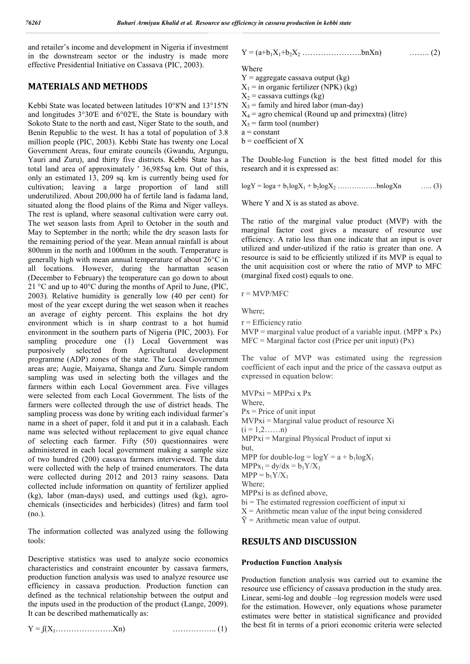and retailer's income and development in Nigeria if investment in the downstream sector or the industry is made more effective Presidential Initiative on Cassava (PIC, 2003).

## **MATERIALS AND METHODS**

Kebbi State was located between latitudes 10°8'N and 13°15'N and longitudes 3°30'E and 6°02'E, the State is boundary with Sokoto State to the north and east, Niger State to the south, and Benin Republic to the west. It has a total of population of 3.8 million people (PIC, 2003). Kebbi State has twenty one Local Government Areas, four emirate councils (Gwandu, Argungu, Yauri and Zuru), and thirty five districts. Kebbi State has a total land area of approximately ' 36,985sq km. Out of this, only an estimated 13, 209 sq. km is currently being used for cultivation; leaving a large proportion of land still underutilized. About 200,000 ha of fertile land is fadama land, situated along the flood plains of the Rima and Niger valleys. The rest is upland, where seasonal cultivation were carry out. The wet season lasts from April to October in the south and May to September in the north; while the dry season lasts for the remaining period of the year. Mean annual rainfall is about 800mm in the north and 1000mm in the south. Temperature is generally high with mean annual temperature of about 26°C in all locations. However, during the harmattan season (December to February) the temperature can go down to about 21 °C and up to 40°C during the months of April to June, (PIC, 2003). Relative humidity is generally low (40 per cent) for most of the year except during the wet season when it reaches an average of eighty percent. This explains the hot dry environment which is in sharp contrast to a hot humid environment in the southern parts of Nigeria (PIC, 2003). For sampling procedure one (1) Local Government was purposively selected from Agricultural development programme (ADP) zones of the state. The Local Government areas are; Augie, Maiyama, Shanga and Zuru. Simple random sampling was used in selecting both the villages and the farmers within each Local Government area. Five villages were selected from each Local Government. The lists of the farmers were collected through the use of district heads. The sampling process was done by writing each individual farmer's name in a sheet of paper, fold it and put it in a calabash. Each name was selected without replacement to give equal chance of selecting each farmer. Fifty (50) questionnaires were administered in each local government making a sample size of two hundred (200) cassava farmers interviewed. The data were collected with the help of trained enumerators. The data were collected during 2012 and 2013 rainy seasons. Data collected include information on quantity of fertilizer applied (kg), labor (man-days) used, and cuttings used (kg), agrochemicals (insecticides and herbicides) (litres) and farm tool (no.).

The information collected was analyzed using the following tools:

Descriptive statistics was used to analyze socio economics characteristics and constraint encounter by cassava farmers, production function analysis was used to analyze resource use efficiency in cassava production. Production function can defined as the technical relationship between the output and the inputs used in the production of the product (Lange, 2009). It can be described mathematically as:

$$
Y = f(X_1, \dots, \dots, X_n) \tag{1}
$$

$$
Y = (a+b_1X_1 + b_2X_2 + \dots + b_nX_n) \qquad \qquad \dots \dots \dots (2)
$$

Where

 $Y =$  aggregate cassava output (kg)

 $X_1$  = in organic fertilizer (NPK) (kg)

 $X_2$  = cassava cuttings (kg)

- $X_3$  = family and hired labor (man-day)
- $X_4$  = agro chemical (Round up and primextra) (litre)
- $X_5$  = farm tool (number)
- $a = constant$
- $b =$  coefficient of X

The Double-log Function is the best fitted model for this research and it is expressed as:

 $log Y = log a + b_1 log X_1 + b_2 log X_2$  ……………bnlogXn ….. (3)

Where Y and X is as stated as above.

The ratio of the marginal value product (MVP) with the marginal factor cost gives a measure of resource use efficiency. A ratio less than one indicate that an input is over utilized and under-utilized if the ratio is greater than one. A resource is said to be efficiently utilized if its MVP is equal to the unit acquisition cost or where the ratio of MVP to MFC (marginal fixed cost) equals to one.

 $r = MVP/MFC$ 

Where;

r = Efficiency ratio

 $MVP =$  marginal value product of a variable input. (MPP x Px)  $MFC = Marginal factor cost (Price per unit input) (Px)$ 

The value of MVP was estimated using the regression coefficient of each input and the price of the cassava output as expressed in equation below:

 $MVPxi = MPPxi x Px$ Where,  $Px = Price$  of unit input  $MVPxi = Marginal value product of resource Xi$  $(i = 1, 2, \ldots, n)$ MPPxi = Marginal Physical Product of input xi but, MPP for double-log =  $logY = a + b_1 logX_1$  $MPPx_1 = dy/dx = b_1Y/X_1$  $MPP = b_1Y/X_1$ Where; MPPxi is as defined above,  $bi$  = The estimated regression coefficient of input xi  $X =$  Arithmetic mean value of the input being considered  $\bar{Y}$  = Arithmetic mean value of output.

### **RESULTS AND DISCUSSION**

#### **Production Function Analysis**

Production function analysis was carried out to examine the resource use efficiency of cassava production in the study area. Linear, semi-log and double –log regression models were used for the estimation. However, only equations whose parameter estimates were better in statistical significance and provided the best fit in terms of a priori economic criteria were selected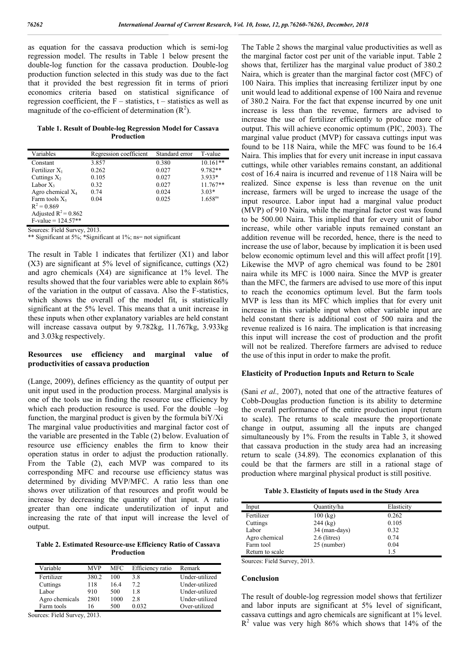as equation for the cassava production which is semi-log regression model. The results in Table 1 below present the double-log function for the cassava production. Double-log production function selected in this study was due to the fact that it provided the best regression fit in terms of priori economics criteria based on statistical significance of regression coefficient, the  $F -$  statistics,  $t -$  statistics as well as magnitude of the co-efficient of determination  $(R^2)$ .

#### **Table 1. Result of Double-log Regression Model for Cassava Production**

| Variables              | Regression coefficient | Standard error | T-value             |
|------------------------|------------------------|----------------|---------------------|
| Constant               | 3.857                  | 0.380          | $10.161**$          |
| Fertilizer $X_1$       | 0.262                  | 0.027          | 9.782**             |
| Cuttings $X_2$         | 0.105                  | 0.027          | $3.933*$            |
| Labor $X_3$            | 0.32                   | 0.027          | $11.767**$          |
| Agro chemical $X_4$    | 0.74                   | 0.024          | $3.03*$             |
| Farm tools $X_5$       | 0.04                   | 0.025          | 1.658 <sup>ns</sup> |
| $R^2 = 0.869$          |                        |                |                     |
| Adjusted $R^2$ = 0.862 |                        |                |                     |
| $F-value = 124.57**$   |                        |                |                     |

Sources: Field Survey, 2013.

\*\* Significant at 5%; \*Significant at 1%; ns= not significant

The result in Table 1 indicates that fertilizer (X1) and labor  $(X3)$  are significant at 5% level of significance, cuttings  $(X2)$ and agro chemicals (X4) are significance at 1% level. The results showed that the four variables were able to explain 86% of the variation in the output of cassava. Also the F-statistics, which shows the overall of the model fit, is statistically significant at the 5% level. This means that a unit increase in these inputs when other explanatory variables are held constant will increase cassava output by 9.782kg, 11.767kg, 3.933kg and 3.03kg respectively.

#### **Resources use efficiency and marginal value of productivities of cassava production**

(Lange, 2009), defines efficiency as the quantity of output per unit input used in the production process. Marginal analysis is one of the tools use in finding the resource use efficiency by which each production resource is used. For the double –log function, the marginal product is given by the formula biY/Xi The marginal value productivities and marginal factor cost of the variable are presented in the Table (2) below. Evaluation of resource use efficiency enables the firm to know their operation status in order to adjust the production rationally. From the Table (2), each MVP was compared to its corresponding MFC and recourse use efficiency status was determined by dividing MVP/MFC. A ratio less than one shows over utilization of that resources and profit would be increase by decreasing the quantity of that input. A ratio greater than one indicate underutilization of input and increasing the rate of that input will increase the level of output.

**Table 2. Estimated Resource-use Efficiency Ratio of Cassava Production**

| Variable       | <b>MVP</b> | <b>MFC</b> | Efficiency ratio | Remark         |
|----------------|------------|------------|------------------|----------------|
| Fertilizer     | 380.2      | 100        | 3.8              | Under-utilized |
| Cuttings       | 118        | 16.4       | 7.2              | Under-utilized |
| Labor          | 910        | 500        | 1.8              | Under-utilized |
| Agro chemicals | 2801       | 1000       | 2.8              | Under-utilized |
| Farm tools     | 16         | 500        | 0.032            | Over-utilized  |
|                |            |            |                  |                |

Sources: Field Survey, 2013.

The Table 2 shows the marginal value productivities as well as the marginal factor cost per unit of the variable input. Table 2 shows that, fertilizer has the marginal value product of 380.2 Naira, which is greater than the marginal factor cost (MFC) of 100 Naira. This implies that increasing fertilizer input by one unit would lead to additional expense of 100 Naira and revenue of 380.2 Naira. For the fact that expense incurred by one unit increase is less than the revenue, farmers are advised to increase the use of fertilizer efficiently to produce more of output. This will achieve economic optimum (PIC, 2003). The marginal value product (MVP) for cassava cuttings input was found to be 118 Naira, while the MFC was found to be 16.4 Naira. This implies that for every unit increase in input cassava cuttings, while other variables remains constant, an additional cost of 16.4 naira is incurred and revenue of 118 Naira will be realized. Since expense is less than revenue on the unit increase, farmers will be urged to increase the usage of the input resource. Labor input had a marginal value product (MVP) of 910 Naira, while the marginal factor cost was found to be 500.00 Naira. This implied that for every unit of labor increase, while other variable inputs remained constant an addition revenue will be recorded, hence, there is the need to increase the use of labor, because by implication it is been used below economic optimum level and this will affect profit [19]. Likewise the MVP of agro chemical was found to be 2801 naira while its MFC is 1000 naira. Since the MVP is greater than the MFC, the farmers are advised to use more of this input to reach the economics optimum level. But the farm tools MVP is less than its MFC which implies that for every unit increase in this variable input when other variable input are held constant there is additional cost of 500 naira and the revenue realized is 16 naira. The implication is that increasing this input will increase the cost of production and the profit will not be realized. Therefore farmers are advised to reduce the use of this input in order to make the profit.

#### **Elasticity of Production Inputs and Return to Scale**

(Sani *et al.,* 2007), noted that one of the attractive features of Cobb-Douglas production function is its ability to determine the overall performance of the entire production input (return to scale). The returns to scale measure the proportionate change in output, assuming all the inputs are changed simultaneously by 1%. From the results in Table 3, it showed that cassava production in the study area had an increasing return to scale (34.89). The economics explanation of this could be that the farmers are still in a rational stage of production where marginal physical product is still positive.

**Table 3. Elasticity of Inputs used in the Study Area**

| Input           | Quantity/ha    | Elasticity |
|-----------------|----------------|------------|
| Fertilizer      | $100$ (kg)     | 0.262      |
| Cuttings        | $244$ (kg)     | 0.105      |
| Labor           | 34 (man-days)  | 0.32       |
| Agro chemical   | $2.6$ (litres) | 0.74       |
| Farm tool       | 25 (number)    | 0.04       |
| Return to scale |                | 1.5        |

Sources: Field Survey, 2013.

#### **Conclusion**

The result of double-log regression model shows that fertilizer and labor inputs are significant at 5% level of significant, cassava cuttings and agro chemicals are significant at 1% level.  $R<sup>2</sup>$  value was very high 86% which shows that 14% of the